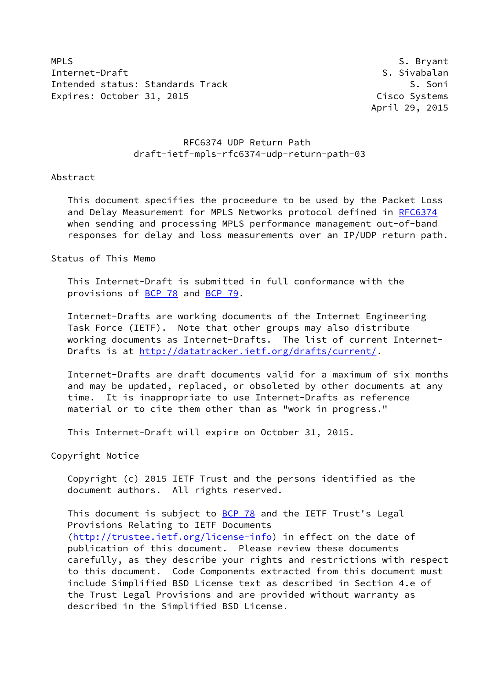MPLS S. Bryant Internet-Draft S. Sivabalan Intended status: Standards Track S. Soni Expires: October 31, 2015 Cisco Systems

April 29, 2015

# RFC6374 UDP Return Path draft-ietf-mpls-rfc6374-udp-return-path-03

# Abstract

 This document specifies the proceedure to be used by the Packet Loss and Delay Measurement for MPLS Networks protocol defined in [RFC6374](https://datatracker.ietf.org/doc/pdf/rfc6374) when sending and processing MPLS performance management out-of-band responses for delay and loss measurements over an IP/UDP return path.

Status of This Memo

 This Internet-Draft is submitted in full conformance with the provisions of [BCP 78](https://datatracker.ietf.org/doc/pdf/bcp78) and [BCP 79](https://datatracker.ietf.org/doc/pdf/bcp79).

 Internet-Drafts are working documents of the Internet Engineering Task Force (IETF). Note that other groups may also distribute working documents as Internet-Drafts. The list of current Internet- Drafts is at<http://datatracker.ietf.org/drafts/current/>.

 Internet-Drafts are draft documents valid for a maximum of six months and may be updated, replaced, or obsoleted by other documents at any time. It is inappropriate to use Internet-Drafts as reference material or to cite them other than as "work in progress."

This Internet-Draft will expire on October 31, 2015.

Copyright Notice

 Copyright (c) 2015 IETF Trust and the persons identified as the document authors. All rights reserved.

This document is subject to **[BCP 78](https://datatracker.ietf.org/doc/pdf/bcp78)** and the IETF Trust's Legal Provisions Relating to IETF Documents [\(http://trustee.ietf.org/license-info](http://trustee.ietf.org/license-info)) in effect on the date of publication of this document. Please review these documents carefully, as they describe your rights and restrictions with respect to this document. Code Components extracted from this document must include Simplified BSD License text as described in Section 4.e of the Trust Legal Provisions and are provided without warranty as described in the Simplified BSD License.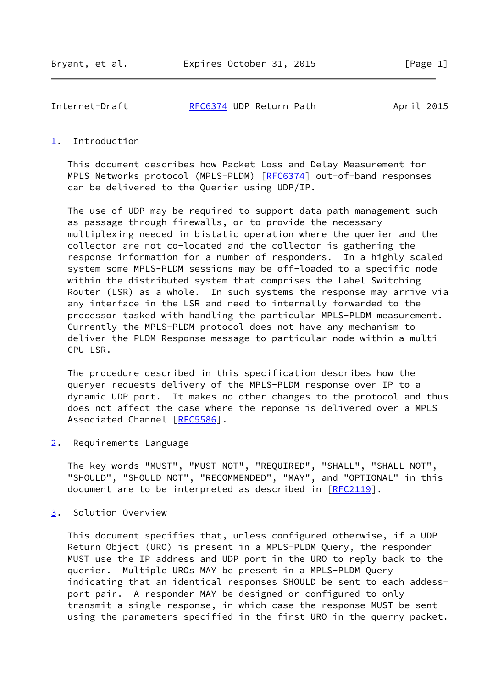Internet-Draft [RFC6374](https://datatracker.ietf.org/doc/pdf/rfc6374) UDP Return Path April 2015

# <span id="page-1-0"></span>[1](#page-1-0). Introduction

 This document describes how Packet Loss and Delay Measurement for MPLS Networks protocol (MPLS-PLDM) [[RFC6374\]](https://datatracker.ietf.org/doc/pdf/rfc6374) out-of-band responses can be delivered to the Querier using UDP/IP.

 The use of UDP may be required to support data path management such as passage through firewalls, or to provide the necessary multiplexing needed in bistatic operation where the querier and the collector are not co-located and the collector is gathering the response information for a number of responders. In a highly scaled system some MPLS-PLDM sessions may be off-loaded to a specific node within the distributed system that comprises the Label Switching Router (LSR) as a whole. In such systems the response may arrive via any interface in the LSR and need to internally forwarded to the processor tasked with handling the particular MPLS-PLDM measurement. Currently the MPLS-PLDM protocol does not have any mechanism to deliver the PLDM Response message to particular node within a multi- CPU LSR.

 The procedure described in this specification describes how the queryer requests delivery of the MPLS-PLDM response over IP to a dynamic UDP port. It makes no other changes to the protocol and thus does not affect the case where the reponse is delivered over a MPLS Associated Channel [[RFC5586\]](https://datatracker.ietf.org/doc/pdf/rfc5586).

<span id="page-1-1"></span>[2](#page-1-1). Requirements Language

 The key words "MUST", "MUST NOT", "REQUIRED", "SHALL", "SHALL NOT", "SHOULD", "SHOULD NOT", "RECOMMENDED", "MAY", and "OPTIONAL" in this document are to be interpreted as described in [\[RFC2119](https://datatracker.ietf.org/doc/pdf/rfc2119)].

<span id="page-1-2"></span>[3](#page-1-2). Solution Overview

 This document specifies that, unless configured otherwise, if a UDP Return Object (URO) is present in a MPLS-PLDM Query, the responder MUST use the IP address and UDP port in the URO to reply back to the querier. Multiple UROs MAY be present in a MPLS-PLDM Query indicating that an identical responses SHOULD be sent to each addess port pair. A responder MAY be designed or configured to only transmit a single response, in which case the response MUST be sent using the parameters specified in the first URO in the querry packet.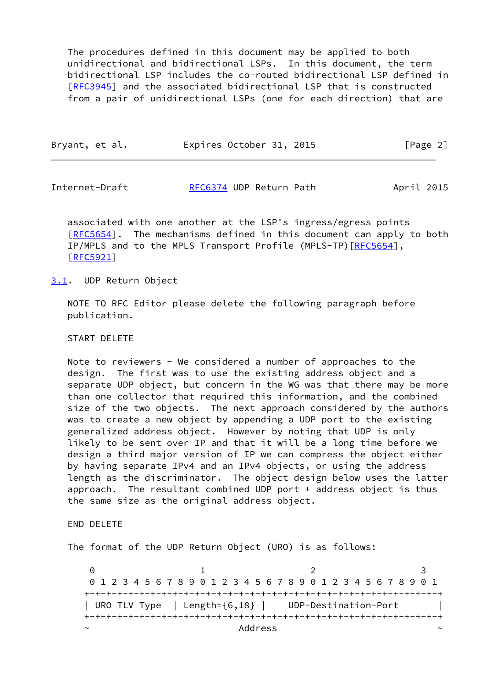The procedures defined in this document may be applied to both unidirectional and bidirectional LSPs. In this document, the term bidirectional LSP includes the co-routed bidirectional LSP defined in [\[RFC3945](https://datatracker.ietf.org/doc/pdf/rfc3945)] and the associated bidirectional LSP that is constructed from a pair of unidirectional LSPs (one for each direction) that are

| Bryant, et al. | Expires October 31, 2015 | [Page 2] |
|----------------|--------------------------|----------|
|                |                          |          |

Internet-Draft [RFC6374](https://datatracker.ietf.org/doc/pdf/rfc6374) UDP Return Path April 2015

 associated with one another at the LSP's ingress/egress points [\[RFC5654](https://datatracker.ietf.org/doc/pdf/rfc5654)]. The mechanisms defined in this document can apply to both IP/MPLS and to the MPLS Transport Profile (MPLS-TP) [[RFC5654\]](https://datatracker.ietf.org/doc/pdf/rfc5654), [\[RFC5921](https://datatracker.ietf.org/doc/pdf/rfc5921)]

#### <span id="page-2-0"></span>[3.1](#page-2-0). UDP Return Object

 NOTE TO RFC Editor please delete the following paragraph before publication.

#### START DELETE

 Note to reviewers - We considered a number of approaches to the design. The first was to use the existing address object and a separate UDP object, but concern in the WG was that there may be more than one collector that required this information, and the combined size of the two objects. The next approach considered by the authors was to create a new object by appending a UDP port to the existing generalized address object. However by noting that UDP is only likely to be sent over IP and that it will be a long time before we design a third major version of IP we can compress the object either by having separate IPv4 and an IPv4 objects, or using the address length as the discriminator. The object design below uses the latter approach. The resultant combined UDP port + address object is thus the same size as the original address object.

# END DELETE

The format of the UDP Return Object (URO) is as follows:

0 1 2 3 0 1 2 3 4 5 6 7 8 9 0 1 2 3 4 5 6 7 8 9 0 1 2 3 4 5 6 7 8 9 0 1 +-+-+-+-+-+-+-+-+-+-+-+-+-+-+-+-+-+-+-+-+-+-+-+-+-+-+-+-+-+-+-+-+ | URO TLV Type | Length={6,18} | UDP-Destination-Port | +-+-+-+-+-+-+-+-+-+-+-+-+-+-+-+-+-+-+-+-+-+-+-+-+-+-+-+-+-+-+-+-+ ~ Address ~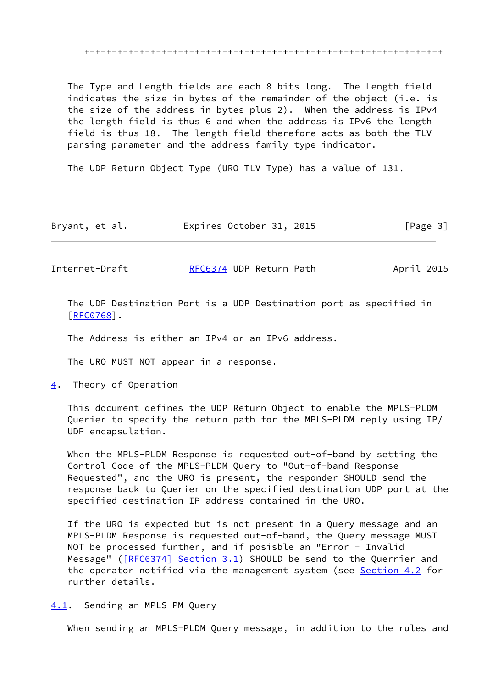+-+-+-+-+-+-+-+-+-+-+-+-+-+-+-+-+-+-+-+-+-+-+-+-+-+-+-+-+-+-+-+-+

 The Type and Length fields are each 8 bits long. The Length field indicates the size in bytes of the remainder of the object (i.e. is the size of the address in bytes plus 2). When the address is IPv4 the length field is thus 6 and when the address is IPv6 the length field is thus 18. The length field therefore acts as both the TLV parsing parameter and the address family type indicator.

The UDP Return Object Type (URO TLV Type) has a value of 131.

| Bryant, et al. | Expires October 31, 2015 |  | [Page 3] |
|----------------|--------------------------|--|----------|
|----------------|--------------------------|--|----------|

Internet-Draft [RFC6374](https://datatracker.ietf.org/doc/pdf/rfc6374) UDP Return Path April 2015

 The UDP Destination Port is a UDP Destination port as specified in [\[RFC0768](https://datatracker.ietf.org/doc/pdf/rfc0768)].

The Address is either an IPv4 or an IPv6 address.

The URO MUST NOT appear in a response.

<span id="page-3-0"></span>[4](#page-3-0). Theory of Operation

 This document defines the UDP Return Object to enable the MPLS-PLDM Querier to specify the return path for the MPLS-PLDM reply using IP/ UDP encapsulation.

 When the MPLS-PLDM Response is requested out-of-band by setting the Control Code of the MPLS-PLDM Query to "Out-of-band Response Requested", and the URO is present, the responder SHOULD send the response back to Querier on the specified destination UDP port at the specified destination IP address contained in the URO.

 If the URO is expected but is not present in a Query message and an MPLS-PLDM Response is requested out-of-band, the Query message MUST NOT be processed further, and if posisble an "Error - Invalid Message" ( $[REC6374]$  Section 3.1) SHOULD be send to the Querrier and the operator notified via the management system (see [Section 4.2](#page-4-0) for rurther details.

<span id="page-3-1"></span>[4.1](#page-3-1). Sending an MPLS-PM Query

When sending an MPLS-PLDM Query message, in addition to the rules and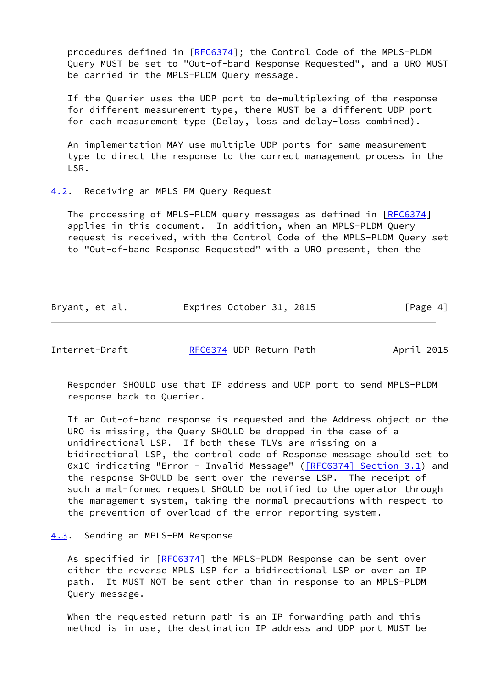procedures defined in [[RFC6374](https://datatracker.ietf.org/doc/pdf/rfc6374)]; the Control Code of the MPLS-PLDM Query MUST be set to "Out-of-band Response Requested", and a URO MUST be carried in the MPLS-PLDM Query message.

 If the Querier uses the UDP port to de-multiplexing of the response for different measurement type, there MUST be a different UDP port for each measurement type (Delay, loss and delay-loss combined).

 An implementation MAY use multiple UDP ports for same measurement type to direct the response to the correct management process in the LSR.

### <span id="page-4-0"></span>[4.2](#page-4-0). Receiving an MPLS PM Query Request

The processing of MPLS-PLDM query messages as defined in [\[RFC6374](https://datatracker.ietf.org/doc/pdf/rfc6374)] applies in this document. In addition, when an MPLS-PLDM Query request is received, with the Control Code of the MPLS-PLDM Query set to "Out-of-band Response Requested" with a URO present, then the

| Bryant, et al. | Expires October 31, 2015 |  | [Page 4] |
|----------------|--------------------------|--|----------|
|----------------|--------------------------|--|----------|

Internet-Draft [RFC6374](https://datatracker.ietf.org/doc/pdf/rfc6374) UDP Return Path April 2015

 Responder SHOULD use that IP address and UDP port to send MPLS-PLDM response back to Querier.

 If an Out-of-band response is requested and the Address object or the URO is missing, the Query SHOULD be dropped in the case of a unidirectional LSP. If both these TLVs are missing on a bidirectional LSP, the control code of Response message should set to 0x1C indicating "Error - Invalid Message" ( $[REC6374]$  Section 3.1) and the response SHOULD be sent over the reverse LSP. The receipt of such a mal-formed request SHOULD be notified to the operator through the management system, taking the normal precautions with respect to the prevention of overload of the error reporting system.

# <span id="page-4-1"></span>[4.3](#page-4-1). Sending an MPLS-PM Response

As specified in [\[RFC6374](https://datatracker.ietf.org/doc/pdf/rfc6374)] the MPLS-PLDM Response can be sent over either the reverse MPLS LSP for a bidirectional LSP or over an IP path. It MUST NOT be sent other than in response to an MPLS-PLDM Query message.

 When the requested return path is an IP forwarding path and this method is in use, the destination IP address and UDP port MUST be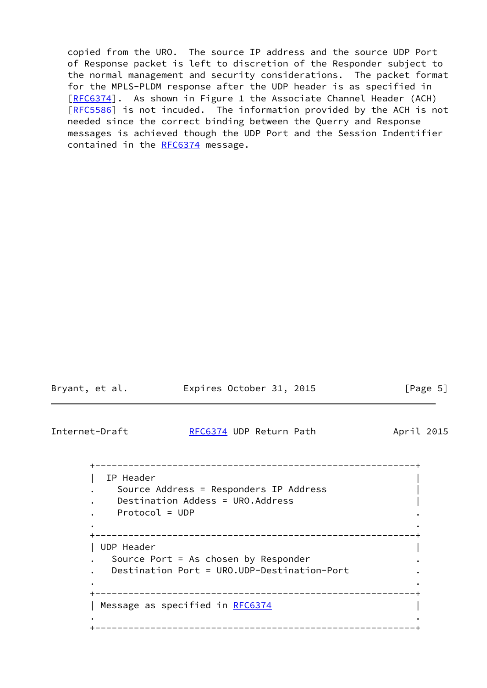copied from the URO. The source IP address and the source UDP Port of Response packet is left to discretion of the Responder subject to the normal management and security considerations. The packet format for the MPLS-PLDM response after the UDP header is as specified in [\[RFC6374](https://datatracker.ietf.org/doc/pdf/rfc6374)]. As shown in Figure 1 the Associate Channel Header (ACH) [\[RFC5586](https://datatracker.ietf.org/doc/pdf/rfc5586)] is not incuded. The information provided by the ACH is not needed since the correct binding between the Querry and Response messages is achieved though the UDP Port and the Session Indentifier contained in the [RFC6374](https://datatracker.ietf.org/doc/pdf/rfc6374) message.

| Bryant, et al. |                                           | Expires October 31, 2015                                                                                |            | [Page 5] |
|----------------|-------------------------------------------|---------------------------------------------------------------------------------------------------------|------------|----------|
|                | Internet-Draft<br>RFC6374 UDP Return Path |                                                                                                         | April 2015 |          |
|                | IP Header<br>$Protocol = UDP$             | ____________________<br>Source Address = Responders IP Address<br>Destination Addess = URO.Address      |            |          |
|                | UDP Header                                | ________________<br>Source Port = As chosen by Responder<br>Destination Port = URO.UDP-Destination-Port |            |          |
|                |                                           | _______________________________<br>Message as specified in RFC6374                                      |            |          |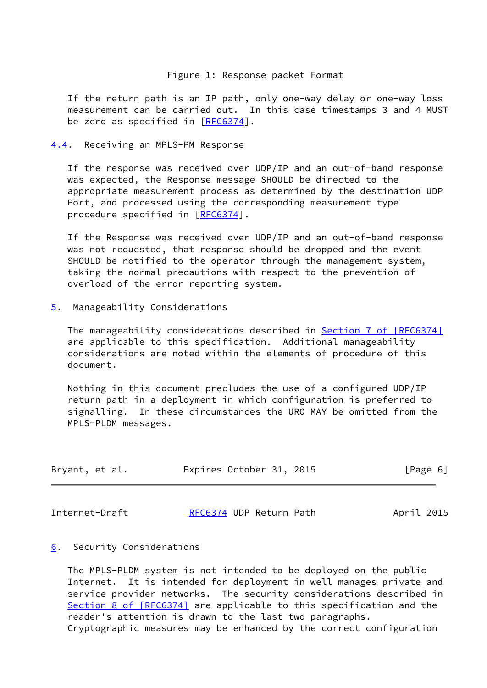# Figure 1: Response packet Format

 If the return path is an IP path, only one-way delay or one-way loss measurement can be carried out. In this case timestamps 3 and 4 MUST be zero as specified in [\[RFC6374](https://datatracker.ietf.org/doc/pdf/rfc6374)].

<span id="page-6-0"></span>[4.4](#page-6-0). Receiving an MPLS-PM Response

 If the response was received over UDP/IP and an out-of-band response was expected, the Response message SHOULD be directed to the appropriate measurement process as determined by the destination UDP Port, and processed using the corresponding measurement type procedure specified in [\[RFC6374](https://datatracker.ietf.org/doc/pdf/rfc6374)].

 If the Response was received over UDP/IP and an out-of-band response was not requested, that response should be dropped and the event SHOULD be notified to the operator through the management system, taking the normal precautions with respect to the prevention of overload of the error reporting system.

<span id="page-6-1"></span>[5](#page-6-1). Manageability Considerations

The manageability considerations described in **Section [7 of \[RFC6374\]](https://datatracker.ietf.org/doc/pdf/rfc6374#section-7)**  are applicable to this specification. Additional manageability considerations are noted within the elements of procedure of this document.

 Nothing in this document precludes the use of a configured UDP/IP return path in a deployment in which configuration is preferred to signalling. In these circumstances the URO MAY be omitted from the MPLS-PLDM messages.

| Bryant, et al. | Expires October 31, 2015 | [Page 6] |
|----------------|--------------------------|----------|
|                |                          |          |

Internet-Draft [RFC6374](https://datatracker.ietf.org/doc/pdf/rfc6374) UDP Return Path April 2015

#### <span id="page-6-2"></span>[6](#page-6-2). Security Considerations

 The MPLS-PLDM system is not intended to be deployed on the public Internet. It is intended for deployment in well manages private and service provider networks. The security considerations described in Section [8 of \[RFC6374\]](https://datatracker.ietf.org/doc/pdf/rfc6374#section-8) are applicable to this specification and the reader's attention is drawn to the last two paragraphs. Cryptographic measures may be enhanced by the correct configuration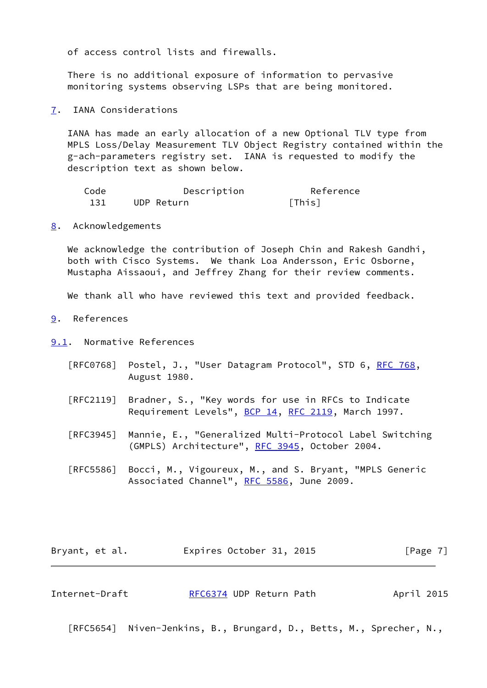of access control lists and firewalls.

 There is no additional exposure of information to pervasive monitoring systems observing LSPs that are being monitored.

<span id="page-7-0"></span>[7](#page-7-0). IANA Considerations

 IANA has made an early allocation of a new Optional TLV type from MPLS Loss/Delay Measurement TLV Object Registry contained within the g-ach-parameters registry set. IANA is requested to modify the description text as shown below.

| Code | Description | Reference |
|------|-------------|-----------|
| 131  | UDP Return  | [This]    |

<span id="page-7-1"></span>[8](#page-7-1). Acknowledgements

We acknowledge the contribution of Joseph Chin and Rakesh Gandhi, both with Cisco Systems. We thank Loa Andersson, Eric Osborne, Mustapha Aissaoui, and Jeffrey Zhang for their review comments.

We thank all who have reviewed this text and provided feedback.

<span id="page-7-2"></span>[9](#page-7-2). References

<span id="page-7-3"></span>[9.1](#page-7-3). Normative References

- [RFC0768] Postel, J., "User Datagram Protocol", STD 6, [RFC 768](https://datatracker.ietf.org/doc/pdf/rfc768), August 1980.
- [RFC2119] Bradner, S., "Key words for use in RFCs to Indicate Requirement Levels", [BCP 14](https://datatracker.ietf.org/doc/pdf/bcp14), [RFC 2119](https://datatracker.ietf.org/doc/pdf/rfc2119), March 1997.
- [RFC3945] Mannie, E., "Generalized Multi-Protocol Label Switching (GMPLS) Architecture", [RFC 3945](https://datatracker.ietf.org/doc/pdf/rfc3945), October 2004.
- [RFC5586] Bocci, M., Vigoureux, M., and S. Bryant, "MPLS Generic Associated Channel", [RFC 5586](https://datatracker.ietf.org/doc/pdf/rfc5586), June 2009.

| Bryant, et al. | Expires October 31, 2015 |  | [Page 7] |
|----------------|--------------------------|--|----------|
|----------------|--------------------------|--|----------|

Internet-Draft [RFC6374](https://datatracker.ietf.org/doc/pdf/rfc6374) UDP Return Path April 2015

[RFC5654] Niven-Jenkins, B., Brungard, D., Betts, M., Sprecher, N.,